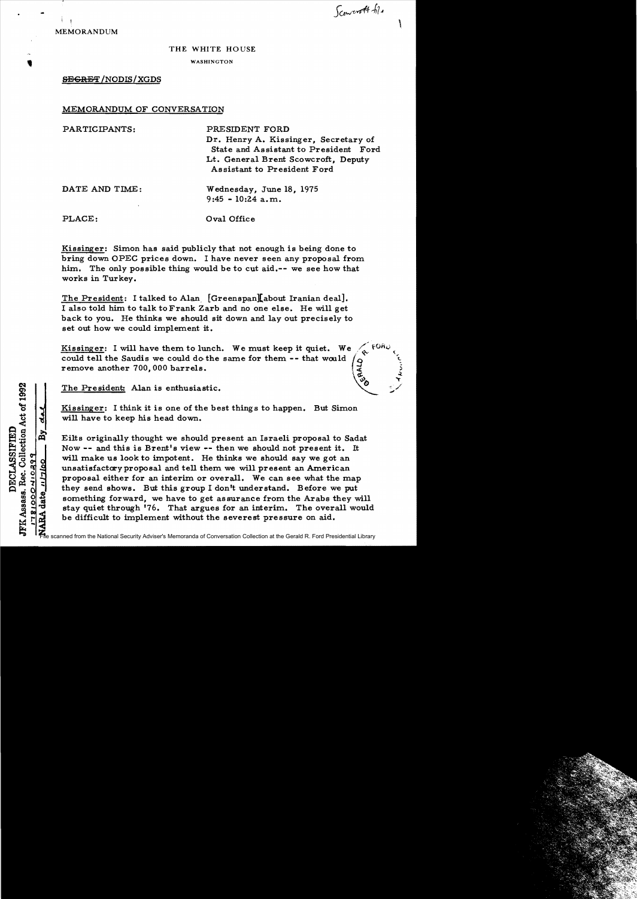MEMORANDUM

Sconcrott til

,

## THE WHITE HOUSE

## • WASHINGTON<br>● WASHINGTON<br>← GECREE (NODIS / VCDS **SEGRET/NODIS/XGDS**

## MEMORANDUM OF CONVERSATION

PARTICIPANTS: PRESIDENT FORD Dr. Henry A. Kissinger, Secretary of State and Assistant to President Ford Lt. General Brent Scowcroft, Deputy Assistant to President Ford DATE AND TIME: Wednesday, June 18, 1975 9:45 - 10:24 a.m. PLACE: Oval Office

Kissinger: Simon has said publicly that not enough is being done to bring down OPEC prices down. I have never seen any proposal from him. The only possible thing would be to cut aid.-- we see how that works in Turkey.

The President: I talked to Alan [Greenspan][about Iranian deal]. I also told him to talk to Frank Zarb and no one else. He will get back to you. He thinks we should sit down and layout precisely to set out how we could implement it.

Kissinger: I will have them to lunch. We must keep it quiet. We Kissinger: I will have them to lunch. We must keep it quiet. We  $\left(\begin{array}{cc} \sqrt{60}h_0 \\ \text{could tell the Saudis we could do the same for them -- that would remove another 700,000 barriers. \end{array}\right)$ 

The President: Alan is enthusiastic.

JFK Assass. Rec. Collection Act of 1992 DECLASSIFIED

781000410299

<u>នា</u>

Kissinger: I think it is one of the best things to happen. But Simon will have to keep his head down.

Eilts originally thought we should present an Israeli proposal to Sadat Now -- and this is Brent's view -- then we should not present it. It will make us look to impotent. He thinks we should say we got an unsatisfactaryproposal and tell them we will present an American proposal either for an interim or overall. We can see what the map they send shows. But this group I don't understand. Before we put something forward, we have to get assurance from the Arabs they will stay quiet through '76. That argues for an interim. The overall would be difficult to implement without the severest pressure on aid.

File scanned from the National Security Adviser's Memoranda of Conversation Collection at the Gerald R. Ford Presidential Library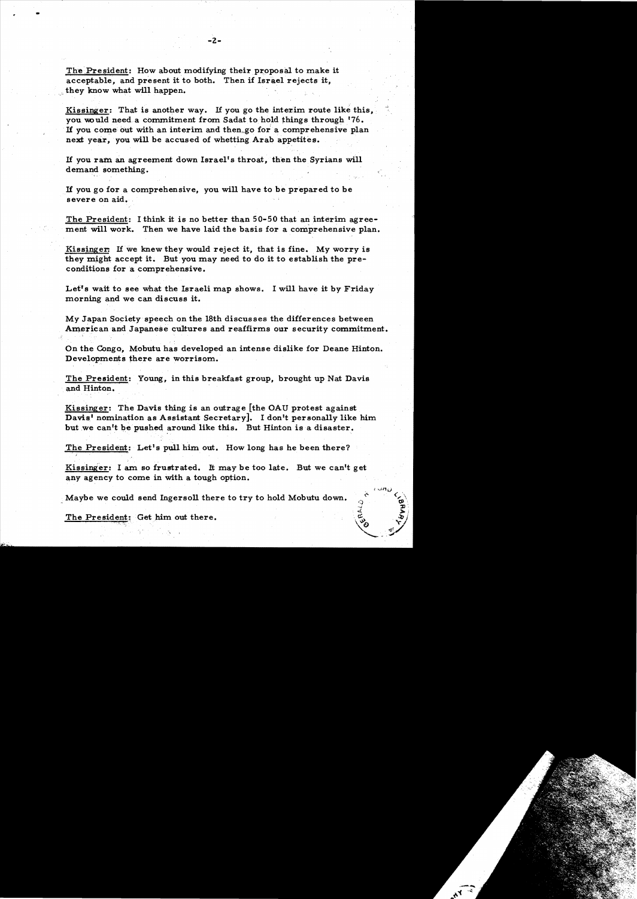The President: How about modifying their proposal to make it acceptable, and present it to both. Then if Israel rejects it, they know what will happen.

-

Kissinger: That is another way. If you go the interim route like this, you would need a commitment from Sadat to hold things through '76. If you come out with an interim and then go for a comprehensive plan next year, you will be accused of whetting Arab appetites.

If you ram an agreement down Israel's throat, then the Syrians will demand something.

If you go for a comprehensive, you will have to be prepared to be severe on aid.

The President: I think it is no better than 50-50 that an interim agreement will work. Then we have laid the basis for a comprehensive plan.

Kissinger: If we knew they would reject it, that is fine. My worry is they might accept it. But you may need to do it to establish the preconditions for a comprehensive.

Let's wait to see what the Israeli map shows. I will have it by Friday morning and we can discuss it.

My Japan Society speech on the 18th discusses the differences between American and Japanese cultures and reaffirms our security commitment.

On the Congo, Mobutu has developed an intense dislike for Deane Hinton. Developments there are worrisom.

The President: Young, in this breakfast group, brought up Nat Davis and Hinton.

Kissinger: The Davis thing is an outrage [the OAU protest against Davis' nomination as Assistant Secretary]. I don't personally like him but we can't be pushed around like this. But Hinton is a disaster.

The President: Let's pull him out. How long has he been there?

Kissinger: I am so frustrated. It may be too late. But we canlt get any agency to come in with a tough option.

Maybe we could send Ingersoll there to try to hold Mobutu down.

The President: Get him out there.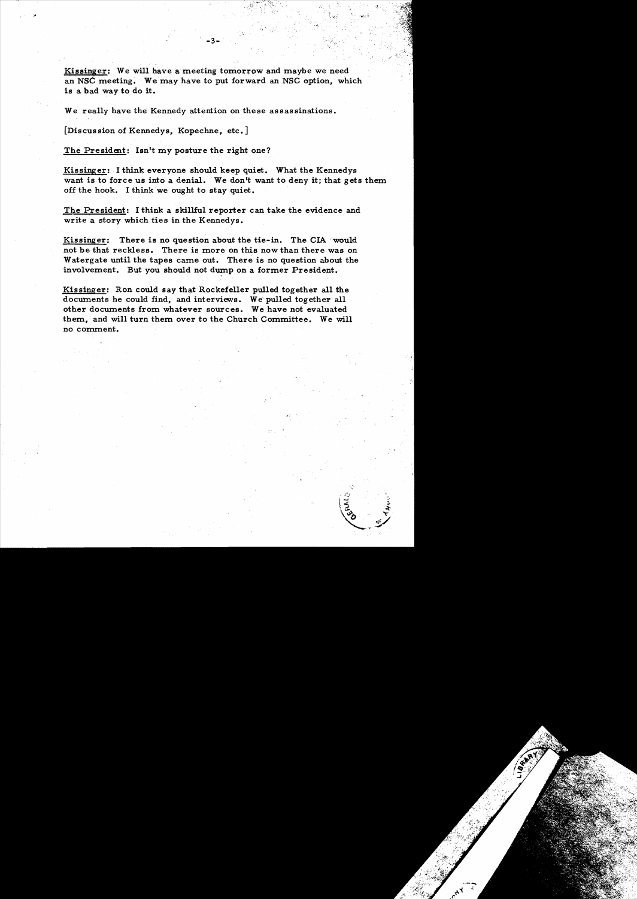Kissinger: We will have a meeting tomorrow and maybe we need an NSC meeting. We may have to put forward an NSC option, which is a bad way to do it.

We really have the Kennedy attention on these assassinations.

[Discussion of Kennedys, Kopechne, etc.]

The President: Isn't my posture the right one?

Kissinger: I think everyone should keep quiet. What the Kennedys want is to force us into a denial. We don't want to deny it; that gets them off the hook. I think we ought to stay quiet.

The President: I think a skillful reporter can take the evidence and write a story which ties in the Kennedys.

Kissinger: There is no question about the tie-in. The CIA would not be that reckless. There is more on this now than there was on Watergate until the tapes came out. There is no question about the involvement. But you should not dump on a former President.

Kissinger: Ron could say that Rockefeller pulled together all the documents he could find, and interviews. We pulled together all other documents from whatever sources. We have not evaluated them, and will turn them over to the Church Committee. We will no comment.

, and  $\sim$  15  $^{\circ}$  +  $^{\circ}$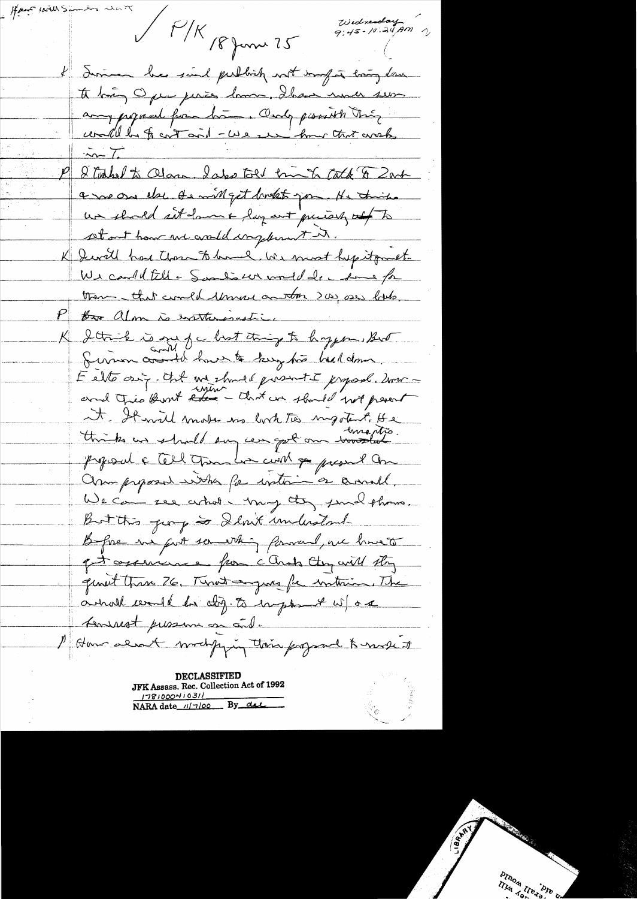$\#$  / few could Wednesday<br>9:45-10.24 AM  $\frac{1}{\sqrt{K}}$  /8 June 25 I disme be soul publish not import boy down to big Open peries homme, Shaw more sur any jugared from him. Only pissisth thing could be for containt - we see how that work  $\frac{1}{\sqrt{2}}$ Student to Class Isles told bin to tack & Zart a me one else. It will get broken pour. He trimps un shoeld art damn & lay ant purish of to set out have not could complement in. K Servill has those to have been must hep it quet-We could fill a Sambour would de la some for them that could throw another 200 ses like P for alm is exertensively. K 2 think is one of chost thing to hypon But Servin considérant le tought his hidden E elte onz. And we should present I proposed downit It will move us lort to mystert, He proposal & Cell Chan har cunt of present One Composed with for writing a anall. We can see atros my toy sund theme. But this going a Slout understand Before us fort something forward, are howeth get againmence from cands they will stay quant than 26. Turnet anguas for interior. The anot would be dig. to import w/ or seminest pressure on onde 1 Have alsoft modifying their proposed & north of

**DECLASSIFIED** JFK Assass. Rec. Collection Act of 1992  $178100041031$ <br>NARA date  $117100$  By del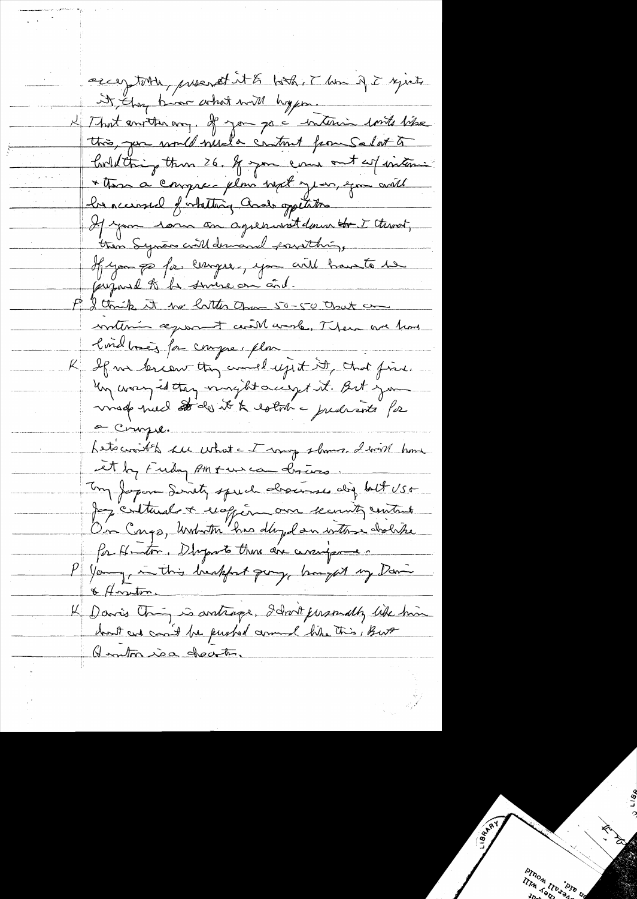acceptable, present it & look, Then if I yeste it Aug bin what will hyper K That enviter any. If you go a interim conte like Contelating them 26. If you can out as interne \* these a compre plan with you, you will he accessed of whattang Cool oppetations If you ram an agreement down to I throat, then Synan will demand possibling, If you go for compre, you will baints to jujail le la sincre on à d. P I think it we litter than 50-50 that can written agreement certil work, There are how londbach for compre plus K If me lercourthing would reject it, that fine. Un wary is they minght accept it. But you made nuel stades it & estot a predicate for a Compe. Letocroit to sur what a I may shows. I will have et la Fuda America chias. Un Japon Sonity speech desacrases dig latt USE Jeg culturales a exopériment entre entre On Cargo, Unbriton has day dan with a doche for Hunton. Dhyparts those dire currifyrme -P Young, in this lientifient group, brought my Davis. & Anston K Davis Chin, is artimes, Idroit personally like him hout and can't be pushed around his this, But Quantos in cheater.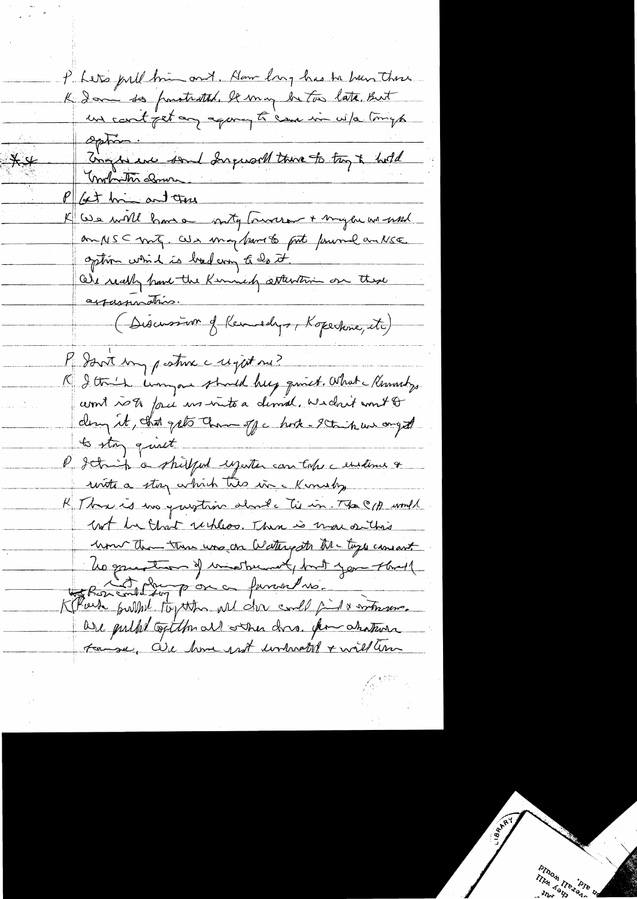P. Let's publ him ont. How larg has be been there un cont jet an aquing ti 'eare in w/a timeps Option: Traps are sont Ingerald there to try to hold montrition down P Get him and there K We will have mity toward + my be we wish an NSC mote, als may frame to fit forume an NSE. option which is bod any to be it.<br>Our really have the Kinnedy attention on these appassimation. (Discussion of Kennedys, Kopertone, etc) Me dont my posture a registance? 19 I think want should be givet. What Knowlys comt rots face un into a demal. We don't won't & dans it, that gets than off a hote-stain we onget  $\frac{1}{\sqrt{2}}$  of  $\frac{1}{\sqrt{2}}$ l'Ictinh a shilfed ujuter can take a enstema + with a stay which two in Kinishy K Three is in quistain about a tie in. The C/A would but he that rechless. There is more setting home than there was an Wattrigster the toys consant Les grandes of ministernal port you through K Rose and Log por a funcol no. are pulled of the all some dons. for chaterin to se, are home prot unhabit & will am

 $\ ÷$